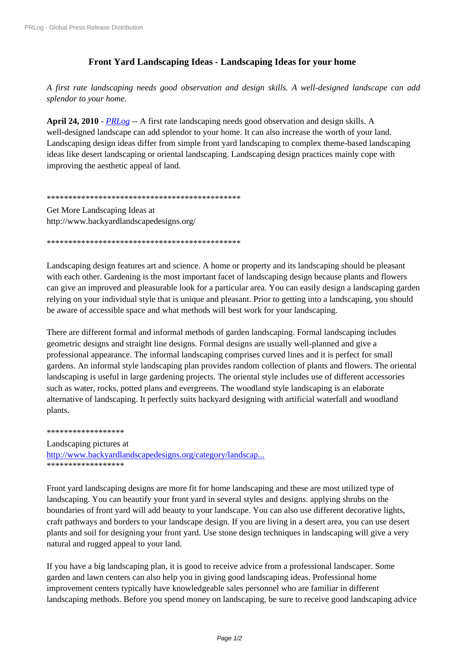## Front Yard Landscaping Ideas - Landscaping Ideas for your home

A first rate landscaping needs good observation and design skills. A well-designed landscape can add splendor to your home.

April 24, 2010 - PRLog -- A first rate landscaping needs good observation and design skills. A well-designed landscape can add splendor to your home. It can also increase the worth of your land. Landscaping design ideas differ from simple front yard landscaping to complex theme-based landscaping ideas like desert landscaping or oriental landscaping. Landscaping design practices mainly cope with improving the aesthetic appeal of land.

Get More Landscaping Ideas at http://www.backyardlandscapedesigns.org/

Landscaping design features art and science. A home or property and its landscaping should be pleasant with each other. Gardening is the most important facet of landscaping design because plants and flowers can give an improved and pleasurable look for a particular area. You can easily design a landscaping garden relying on your individual style that is unique and pleasant. Prior to getting into a landscaping, you should be aware of accessible space and what methods will best work for your landscaping.

There are different formal and informal methods of garden landscaping. Formal landscaping includes geometric designs and straight line designs. Formal designs are usually well-planned and give a professional appearance. The informal landscaping comprises curved lines and it is perfect for small gardens. An informal style landscaping plan provides random collection of plants and flowers. The oriental landscaping is useful in large gardening projects. The oriental style includes use of different accessories such as water, rocks, potted plans and evergreens. The woodland style landscaping is an elaborate alternative of landscaping. It perfectly suits backyard designing with artificial waterfall and woodland plants.

\*\*\*\*\*\*\*\*\*\*\*\*\*\*\*\*\*\* Landscaping pictures at http://www.backvardlandscapedesigns.org/category/landscap... \*\*\*\*\*\*\*\*\*\*\*\*\*\*\*\*\*\*

Front yard landscaping designs are more fit for home landscaping and these are most utilized type of landscaping. You can beautify your front yard in several styles and designs, applying shrubs on the boundaries of front yard will add beauty to your landscape. You can also use different decorative lights, craft pathways and borders to your landscape design. If you are living in a desert area, you can use desert plants and soil for designing your front yard. Use stone design techniques in landscaping will give a very natural and rugged appeal to your land.

If you have a big landscaping plan, it is good to receive advice from a professional landscaper. Some garden and lawn centers can also help you in giving good landscaping ideas. Professional home improvement centers typically have knowledgeable sales personnel who are familiar in different landscaping methods. Before you spend money on landscaping, be sure to receive good landscaping advice